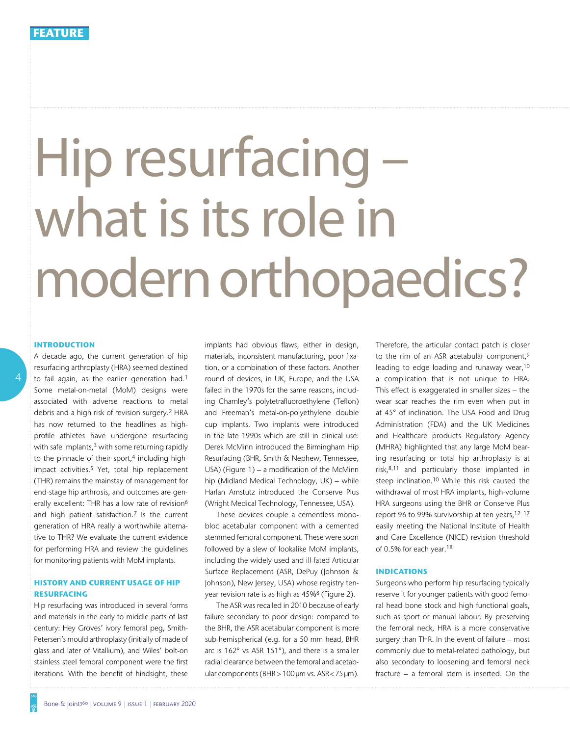# Hip resurfacing what is its role in modern orthopaedics?

## **Introduction**

A decade ago, the current generation of hip resurfacing arthroplasty (HRA) seemed destined to fail again, as the earlier generation had.<sup>1</sup> Some metal-on-metal (MoM) designs were associated with adverse reactions to metal debris and a high risk of revision surgery.2 HRA has now returned to the headlines as highprofile athletes have undergone resurfacing with safe implants,<sup>3</sup> with some returning rapidly to the pinnacle of their sport, $4$  including highimpact activities.<sup>5</sup> Yet, total hip replacement (THR) remains the mainstay of management for end-stage hip arthrosis, and outcomes are generally excellent: THR has a low rate of revision<sup>6</sup> and high patient satisfaction. $7$  Is the current generation of HRA really a worthwhile alternative to THR? We evaluate the current evidence for performing HRA and review the guidelines for monitoring patients with MoM implants.

# **History and current usage of hip resurfacing**

Hip resurfacing was introduced in several forms and materials in the early to middle parts of last century: Hey Groves' ivory femoral peg, Smith-Petersen's mould arthroplasty (initially of made of glass and later of Vitallium), and Wiles' bolt-on stainless steel femoral component were the first iterations. With the benefit of hindsight, these implants had obvious flaws, either in design, materials, inconsistent manufacturing, poor fixation, or a combination of these factors. Another round of devices, in UK, Europe, and the USA failed in the 1970s for the same reasons, including Charnley's polytetrafluoroethylene (Teflon) and Freeman's metal-on-polyethylene double cup implants. Two implants were introduced in the late 1990s which are still in clinical use: Derek McMinn introduced the Birmingham Hip Resurfacing (BHR, Smith & Nephew, Tennessee, USA) (Figure 1) – a modification of the McMinn hip (Midland Medical Technology, UK) – while Harlan Amstutz introduced the Conserve Plus (Wright Medical Technology, Tennessee, USA).

These devices couple a cementless monobloc acetabular component with a cemented stemmed femoral component. These were soon followed by a slew of lookalike MoM implants, including the widely used and ill-fated Articular Surface Replacement (ASR, DePuy (Johnson & Johnson), New Jersey, USA) whose registry tenyear revision rate is as high as 45%8 (Figure 2).

The ASR was recalled in 2010 because of early failure secondary to poor design: compared to the BHR, the ASR acetabular component is more sub-hemispherical (e.g. for a 50 mm head, BHR arc is 162° vs ASR 151°), and there is a smaller radial clearance between the femoral and acetabular components (BHR > 100µm vs. ASR<75µm).

Therefore, the articular contact patch is closer to the rim of an ASR acetabular component,<sup>9</sup> leading to edge loading and runaway wear,10 a complication that is not unique to HRA. This effect is exaggerated in smaller sizes – the wear scar reaches the rim even when put in at 45° of inclination. The USA Food and Drug Administration (FDA) and the UK Medicines and Healthcare products Regulatory Agency (MHRA) highlighted that any large MoM bearing resurfacing or total hip arthroplasty is at risk,8,11 and particularly those implanted in steep inclination.<sup>10</sup> While this risk caused the withdrawal of most HRA implants, high-volume HRA surgeons using the BHR or Conserve Plus report 96 to 99% survivorship at ten years,12–17 easily meeting the National Institute of Health and Care Excellence (NICE) revision threshold of 0.5% for each year.18

#### **Indications**

Surgeons who perform hip resurfacing typically reserve it for younger patients with good femoral head bone stock and high functional goals, such as sport or manual labour. By preserving the femoral neck, HRA is a more conservative surgery than THR. In the event of failure – most commonly due to metal-related pathology, but also secondary to loosening and femoral neck fracture – a femoral stem is inserted. On the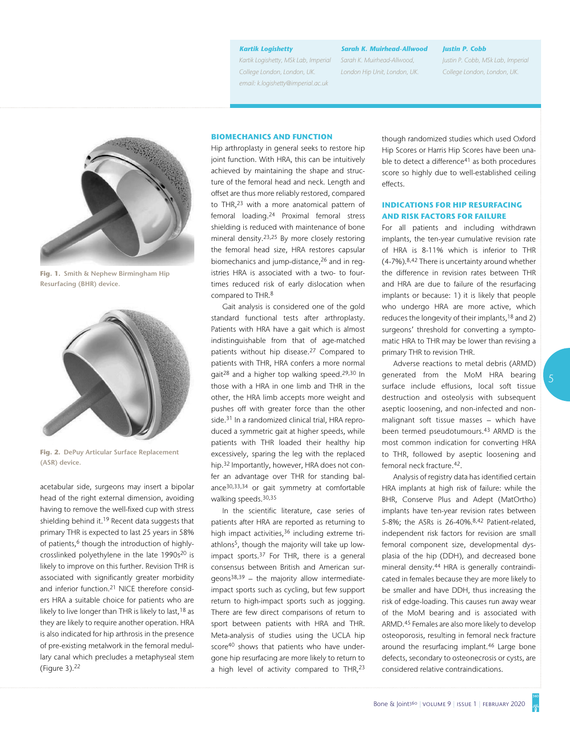#### *Kartik Logishetty*

*Kartik Logishetty, MSk Lab, Imperial College London, London, UK. email: k.logishetty@imperial.ac.uk*

*Sarah K. Muirhead-Allwood Sarah K. Muirhead-Allwood, London Hip Unit, London, UK.*

#### *Justin P. Cobb*

*Justin P. Cobb, MSk Lab, Imperial College London, London, UK.*



**Fig. 1. Smith & Nephew Birmingham Hip Resurfacing (BHR) device.**



**Fig. 2. DePuy Articular Surface Replacement (ASR) device.**

acetabular side, surgeons may insert a bipolar head of the right external dimension, avoiding having to remove the well-fixed cup with stress shielding behind it.<sup>19</sup> Recent data suggests that primary THR is expected to last 25 years in 58% of patients,<sup>6</sup> though the introduction of highlycrosslinked polyethylene in the late 1990s<sup>20</sup> is likely to improve on this further. Revision THR is associated with significantly greater morbidity and inferior function.21 NICE therefore considers HRA a suitable choice for patients who are likely to live longer than THR is likely to last, <sup>18</sup> as they are likely to require another operation. HRA is also indicated for hip arthrosis in the presence of pre-existing metalwork in the femoral medullary canal which precludes a metaphyseal stem (Figure 3).22

#### **Biomechanics and function**

Hip arthroplasty in general seeks to restore hip joint function. With HRA, this can be intuitively achieved by maintaining the shape and structure of the femoral head and neck. Length and offset are thus more reliably restored, compared to THR,23 with a more anatomical pattern of femoral loading.24 Proximal femoral stress shielding is reduced with maintenance of bone mineral density.23,25 By more closely restoring the femoral head size, HRA restores capsular biomechanics and jump-distance,<sup>26</sup> and in reqistries HRA is associated with a two- to fourtimes reduced risk of early dislocation when compared to THR.<sup>8</sup>

Gait analysis is considered one of the gold standard functional tests after arthroplasty. Patients with HRA have a gait which is almost indistinguishable from that of age-matched patients without hip disease.27 Compared to patients with THR, HRA confers a more normal gait28 and a higher top walking speed.29,30 In those with a HRA in one limb and THR in the other, the HRA limb accepts more weight and pushes off with greater force than the other side.<sup>31</sup> In a randomized clinical trial, HRA reproduced a symmetric gait at higher speeds, while patients with THR loaded their healthy hip excessively, sparing the leg with the replaced hip.32 Importantly, however, HRA does not confer an advantage over THR for standing balance30,33,34 or gait symmetry at comfortable walking speeds.30,35

In the scientific literature, case series of patients after HRA are reported as returning to high impact activities,<sup>36</sup> including extreme triathlons5, though the majority will take up lowimpact sports.37 For THR, there is a general consensus between British and American sur $qeons<sup>38,39</sup>$  – the majority allow intermediateimpact sports such as cycling, but few support return to high-impact sports such as jogging. There are few direct comparisons of return to sport between patients with HRA and THR. Meta-analysis of studies using the UCLA hip score<sup>40</sup> shows that patients who have undergone hip resurfacing are more likely to return to a high level of activity compared to THR,<sup>23</sup>

though randomized studies which used Oxford Hip Scores or Harris Hip Scores have been unable to detect a difference<sup>41</sup> as both procedures score so highly due to well-established ceiling effects.

# **Indications for hip resurfacing and risk factors for failure**

For all patients and including withdrawn implants, the ten-year cumulative revision rate of HRA is 8-11% which is inferior to THR (4-7%).8,42 There is uncertainty around whether the difference in revision rates between THR and HRA are due to failure of the resurfacing implants or because: 1) it is likely that people who undergo HRA are more active, which reduces the longevity of their implants,<sup>18</sup> and 2) surgeons' threshold for converting a symptomatic HRA to THR may be lower than revising a primary THR to revision THR.

Adverse reactions to metal debris (ARMD) generated from the MoM HRA bearing surface include effusions, local soft tissue destruction and osteolysis with subsequent aseptic loosening, and non-infected and nonmalignant soft tissue masses – which have been termed pseudotumours.<sup>43</sup> ARMD is the most common indication for converting HRA to THR, followed by aseptic loosening and femoral neck fracture.42.

Analysis of registry data has identified certain HRA implants at high risk of failure: while the BHR, Conserve Plus and Adept (MatOrtho) implants have ten-year revision rates between 5-8%; the ASRs is 26-40%.8,42 Patient-related, independent risk factors for revision are small femoral component size, developmental dysplasia of the hip (DDH), and decreased bone mineral density.44 HRA is generally contraindicated in females because they are more likely to be smaller and have DDH, thus increasing the risk of edge-loading. This causes run away wear of the MoM bearing and is associated with ARMD.45 Females are also more likely to develop osteoporosis, resulting in femoral neck fracture around the resurfacing implant.<sup>46</sup> Large bone defects, secondary to osteonecrosis or cysts, are considered relative contraindications.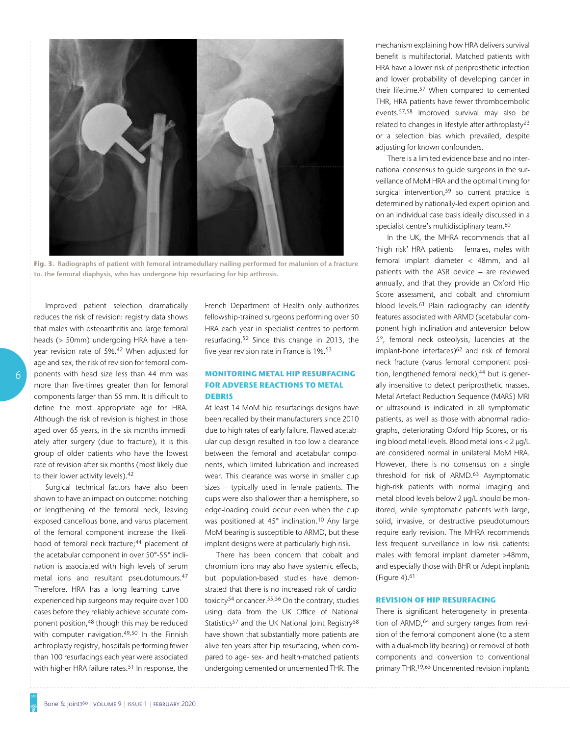

**Fig. 3. Radiographs of patient with femoral intramedullary nailing performed for malunion of a fracture to. the femoral diaphysis, who has undergone hip resurfacing for hip arthrosis.**

6

Improved patient selection dramatically reduces the risk of revision: registry data shows that males with osteoarthritis and large femoral heads (> 50mm) undergoing HRA have a tenyear revision rate of 5%.42 When adjusted for age and sex, the risk of revision for femoral components with head size less than 44 mm was more than five-times greater than for femoral components larger than 55 mm. It is difficult to define the most appropriate age for HRA. Although the risk of revision is highest in those aged over 65 years, in the six months immediately after surgery (due to fracture), it is this group of older patients who have the lowest rate of revision after six months (most likely due to their lower activity levels).42

Surgical technical factors have also been shown to have an impact on outcome: notching or lengthening of the femoral neck, leaving exposed cancellous bone, and varus placement of the femoral component increase the likelihood of femoral neck fracture;<sup>44</sup> placement of the acetabular component in over 50°-55° inclination is associated with high levels of serum metal ions and resultant pseudotumours.47 Therefore, HRA has a long learning curve – experienced hip surgeons may require over 100 cases before they reliably achieve accurate component position,48 though this may be reduced with computer navigation.<sup>49,50</sup> In the Finnish arthroplasty registry, hospitals performing fewer than 100 resurfacings each year were associated with higher HRA failure rates.<sup>51</sup> In response, the French Department of Health only authorizes fellowship-trained surgeons performing over 50 HRA each year in specialist centres to perform resurfacing.52 Since this change in 2013, the five-year revision rate in France is 1%.53

## **Monitoring metal hip resurfacing for adverse reactions to metal debris**

At least 14 MoM hip resurfacings designs have been recalled by their manufacturers since 2010 due to high rates of early failure. Flawed acetabular cup design resulted in too low a clearance between the femoral and acetabular components, which limited lubrication and increased wear. This clearance was worse in smaller cup sizes – typically used in female patients. The cups were also shallower than a hemisphere, so edge-loading could occur even when the cup was positioned at 45° inclination.10 Any large MoM bearing is susceptible to ARMD, but these implant designs were at particularly high risk.

There has been concern that cobalt and chromium ions may also have systemic effects, but population-based studies have demonstrated that there is no increased risk of cardiotoxicity<sup>54</sup> or cancer.<sup>55,56</sup> On the contrary, studies using data from the UK Office of National Statistics<sup>57</sup> and the UK National Joint Registry<sup>58</sup> have shown that substantially more patients are alive ten years after hip resurfacing, when compared to age- sex- and health-matched patients undergoing cemented or uncemented THR. The

mechanism explaining how HRA delivers survival benefit is multifactorial. Matched patients with HRA have a lower risk of periprosthetic infection and lower probability of developing cancer in their lifetime.57 When compared to cemented THR, HRA patients have fewer thromboembolic events.57,58 Improved survival may also be related to changes in lifestyle after arthroplasty23 or a selection bias which prevailed, despite adjusting for known confounders.

There is a limited evidence base and no international consensus to guide surgeons in the surveillance of MoM HRA and the optimal timing for surgical intervention,<sup>59</sup> so current practice is determined by nationally-led expert opinion and on an individual case basis ideally discussed in a specialist centre's multidisciplinary team.<sup>60</sup>

In the UK, the MHRA recommends that all 'high risk' HRA patients – females, males with femoral implant diameter < 48mm, and all patients with the ASR device – are reviewed annually, and that they provide an Oxford Hip Score assessment, and cobalt and chromium blood levels.61 Plain radiography can identify features associated with ARMD (acetabular component high inclination and anteversion below 5°, femoral neck osteolysis, lucencies at the implant-bone interfaces)<sup>62</sup> and risk of femoral neck fracture (varus femoral component position, lengthened femoral neck),<sup>44</sup> but is generally insensitive to detect periprosthetic masses. Metal Artefact Reduction Sequence (MARS) MRI or ultrasound is indicated in all symptomatic patients, as well as those with abnormal radiographs, deteriorating Oxford Hip Scores, or rising blood metal levels. Blood metal ions < 2 µg/L are considered normal in unilateral MoM HRA. However, there is no consensus on a single threshold for risk of ARMD.63 Asymptomatic high-risk patients with normal imaging and metal blood levels below 2 µg/L should be monitored, while symptomatic patients with large, solid, invasive, or destructive pseudotumours require early revision. The MHRA recommends less frequent surveillance in low risk patients: males with femoral implant diameter >48mm, and especially those with BHR or Adept implants (Figure 4). $61$ 

## **Revision of hip resurfacing**

There is significant heterogeneity in presentation of ARMD,<sup>64</sup> and surgery ranges from revision of the femoral component alone (to a stem with a dual-mobility bearing) or removal of both components and conversion to conventional primary THR.19,65 Uncemented revision implants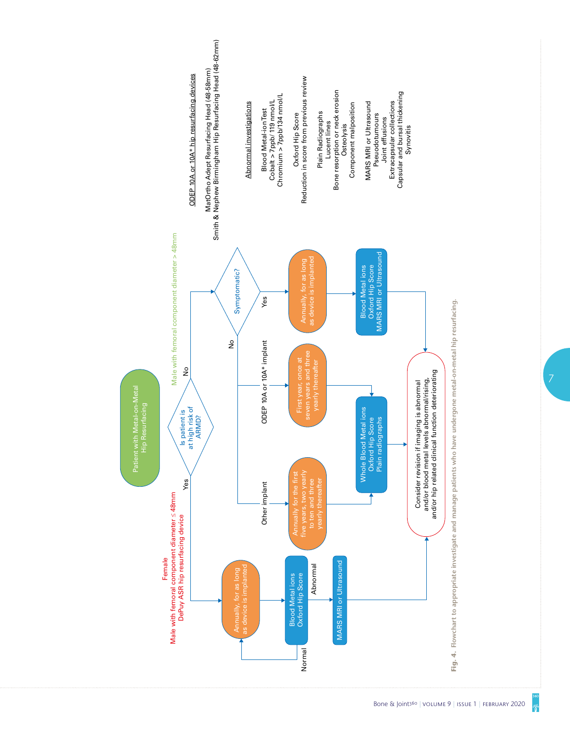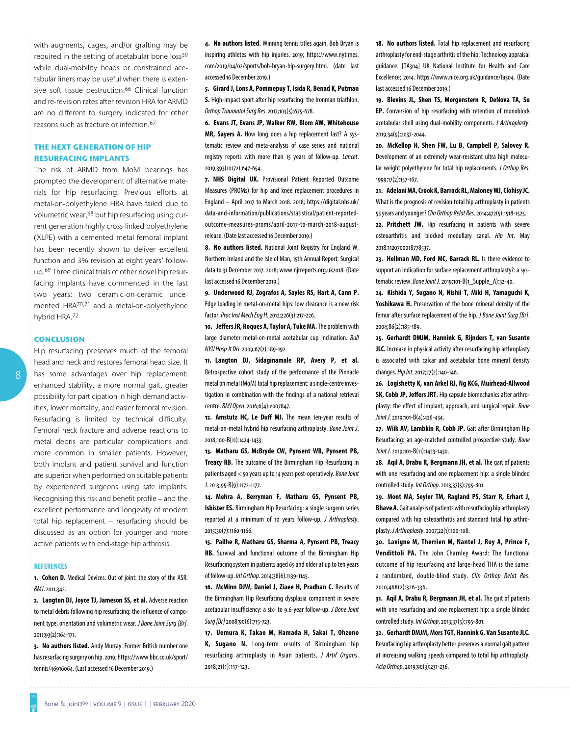with augments, cages, and/or grafting may be required in the setting of acetabular bone loss<sup>59</sup> while dual-mobility heads or constrained acetabular liners may be useful when there is extensive soft tissue destruction.<sup>66</sup> Clinical function and re-revision rates after revision HRA for ARMD are no different to surgery indicated for other reasons such as fracture or infection.67

# **The next generation of hip resurfacing implants**

The risk of ARMD from MoM bearings has prompted the development of alternative materials for hip resurfacing. Previous efforts at metal-on-polyethylene HRA have failed due to volumetric wear,68 but hip resurfacing using current generation highly cross-linked polyethylene (XLPE) with a cemented metal femoral implant has been recently shown to deliver excellent function and 3% revision at eight years' followup.69 Three clinical trials of other novel hip resurfacing implants have commenced in the last two years: two ceramic-on-ceramic uncemented HRA70,71 and a metal-on-polyethylene hybrid HRA.72

#### **Conclusion**

Hip resurfacing preserves much of the femoral head and neck and restores femoral head size. It has some advantages over hip replacement: enhanced stability, a more normal gait, greater possibility for participation in high demand activities, lower mortality, and easier femoral revision. Resurfacing is limited by technical difficulty. Femoral neck fracture and adverse reactions to metal debris are particular complications and more common in smaller patients. However, both implant and patient survival and function are superior when performed on suitable patients by experienced surgeons using safe implants. Recognising this risk and benefit profile – and the excellent performance and longevity of modern total hip replacement – resurfacing should be discussed as an option for younger and more active patients with end-stage hip arthrosis.

#### **References**

**1. Cohen D.** Medical Devices. Out of joint: the story of the ASR. *BMJ*. 2011;342.

**2. Langton DJ, Joyce TJ, Jameson SS, et al.** Adverse reaction to metal debris following hip resurfacing: the influence of component type, orientation and volumetric wear. *J Bone Joint Surg [Br]*. 2011;93(2):164-171.

**3. No authors listed.** Andy Murray: Former British number one has resurfacing surgery on hip. 2019; https://www.bbc.co.uk/sport/ tennis/46916064. (Last accessed 16 December 2019.)

**4. No authors listed.** Winning tennis titles again, Bob Bryan is inspiring athletes with hip injuries. 2019; https://www.nytimes. com/2019/04/02/sports/bob-bryan-hip-surgery.html. (date last accessed 16 December 2019.)

**5. Girard J, Lons A, Pommepuy T, Isida R, Benad K, Putman S.** High-impact sport after hip resurfacing: the Ironman triathlon. *Orthop Traumatol Surg Res*. 2017;103(5):675-678.

**6. Evans JT, Evans JP, Walker RW, Blom AW, Whitehouse MR, Sayers A.** How long does a hip replacement last? A systematic review and meta-analysis of case series and national registry reports with more than 15 years of follow-up. *Lancet*. 2019;393(10172):647-654.

**7. NHS Digital UK.** Provisional Patient Reported Outcome Measures (PROMs) for hip and knee replacement procedures in England – April 2017 to March 2018. 2018; https://digital.nhs.uk/ data-and-information/publications/statistical/patient-reportedoutcome-measures-proms/april-2017-to-march-2018-augustrelease. (Date last accessed 16 December 2019.)

**8. No authors listed.** National Joint Registry for England W, Northern Ireland and the Isle of Man, 15th Annual Report: Surgical data to 31 December 2017. 2018; www.njrreports.org.uk2018. (Date last accessed 16 December 2019.)

**9. Underwood RJ, Zografos A, Sayles RS, Hart A, Cann P.** Edge loading in metal-on-metal hips: low clearance is a new risk factor. *Proc Inst Mech Eng H*. 2012;226(3):217-226.

**10. Jeffers JR, Roques A, Taylor A, Tuke MA.** The problem with large diameter metal-on-metal acetabular cup inclination. *Bull NYU Hosp Jt Dis*. 2009;67(2):189-192.

**11. Langton DJ, Sidaginamale RP, Avery P, et al.** Retrospective cohort study of the performance of the Pinnacle metal on metal (MoM) total hip replacement: a single-centre investigation in combination with the findings of a national retrieval centre. *BMJ Open*. 2016;6(4):e007847.

**12. Amstutz HC, Le Duff MJ.** The mean ten-year results of metal-on-metal hybrid hip resurfacing arthroplasty. *Bone Joint J*. 2018;100-B(11):1424-1433.

**13. Matharu GS, McBryde CW, Pynsent WB, Pynsent PB, Treacy RB.** The outcome of the Birmingham Hip Resurfacing in patients aged < 50 years up to 14 years post-operatively. *Bone Joint J*. 2013;95-B(9):1172-1177.

**14. Mehra A, Berryman F, Matharu GS, Pynsent PB, Isbister ES.** Birmingham Hip Resurfacing: a single surgeon series reported at a minimum of 10 years follow-up. *J Arthroplasty*. 2015;30(7):1160-1166.

**15. Pailhe R, Matharu GS, Sharma A, Pynsent PB, Treacy RB.** Survival and functional outcome of the Birmingham Hip Resurfacing system in patients aged 65 and older at up to ten years of follow-up. *Int Orthop*. 2014;38(6):1139-1145.

**16. McMinn DJW, Daniel J, Ziaee H, Pradhan C.** Results of the Birmingham Hip Resurfacing dysplasia component in severe acetabular insufficiency: a six- to 9.6-year follow-up. *J Bone Joint Surg [Br]* 2008;90(6):715-723.

**17. Uemura K, Takao M, Hamada H, Sakai T, Ohzono K, Sugano N.** Long-term results of Birmingham hip resurfacing arthroplasty in Asian patients. *J Artif Organs*. 2018;21(1):117-123.

**18. No authors listed.** Total hip replacement and resurfacing arthroplasty for end-stage arthritis of the hip: Technology appraisal guidance. [TA304] UK National Institute for Health and Care Excellence; 2014. https://www.nice.org.uk/guidance/ta304. (Date last accessed 16 December 2019.)

**19. Blevins JL, Shen TS, Morgenstern R, DeNova TA, Su EP.** Conversion of hip resurfacing with retention of monoblock acetabular shell using dual-mobility components. *J Arthroplasty*. 2019;34(9):2037-2044.

**20. McKellop H, Shen FW, Lu B, Campbell P, Salovey R.** Development of an extremely wear-resistant ultra high molecular weight polyethylene for total hip replacements. *J Orthop Res*. 1999;17(2):157-167.

**21. Adelani MA, Crook K, Barrack RL, Maloney WJ, Clohisy JC.** What is the prognosis of revision total hip arthroplasty in patients 55 years and younger? *Clin Orthop Relat Res*. 2014;472(5):1518-1525.

**22. Pritchett JW.** Hip resurfacing in patients with severe osteoarthritis and blocked medullary canal. *Hip Int*. May 2018:1120700018778537.

**23. Hellman MD, Ford MC, Barrack RL.** Is there evidence to support an indication for surface replacement arthroplasty?: a systematic review. *Bone Joint J*. 2019;101-B(1\_Supple\_A):32-40.

**24. Kishida Y, Sugano N, Nishii T, Miki H, Yamaguchi K, Yoshikawa H.** Preservation of the bone mineral density of the femur after surface replacement of the hip. *J Bone Joint Surg [Br]*. 2004;86(2):185-189.

**25. Gerhardt DMJM, Hannink G, Rijnders T, van Susante JLC.** Increase in physical activity after resurfacing hip arthroplasty is associated with calcar and acetabular bone mineral density changes. *Hip Int*. 2017;27(2):140-146.

**26. Logishetty K, van Arkel RJ, Ng KCG, Muirhead-Allwood SK, Cobb JP, Jeffers JRT.** Hip capsule biomechanics after arthroplasty: the effect of implant, approach, and surgical repair. *Bone Joint J*. 2019;101-B(4):426-434.

**27. Wiik AV, Lambkin R, Cobb JP.** Gait after Birmingham Hip Resurfacing: an age-matched controlled prospective study. *Bone Joint J*. 2019;101-B(11):1423-1430.

**28. Aqil A, Drabu R, Bergmann JH, et al.** The gait of patients with one resurfacing and one replacement hip: a single blinded controlled study. *Int Orthop*. 2013;37(5):795-801.

**29. Mont MA, Seyler TM, Ragland PS, Starr R, Erhart J, Bhave A.** Gait analysis of patients with resurfacing hip arthroplasty compared with hip osteoarthritis and standard total hip arthroplasty. *J Arthroplasty*. 2007;22(1):100-108.

**30. Lavigne M, Therrien M, Nantel J, Roy A, Prince F, Vendittoli PA.** The John Charnley Award: The functional outcome of hip resurfacing and large-head THA is the same: a randomized, double-blind study. *Clin Orthop Relat Res*. 2010;468(2):326-336.

**31. Aqil A, Drabu R, Bergmann JH, et al.** The gait of patients with one resurfacing and one replacement hip: a single blinded controlled study. *Int Orthop*. 2013;37(5):795-801.

**32. Gerhardt DMJM, Mors TGT, Hannink G, Van Susante JLC.** Resurfacing hip arthroplasty better preserves a normal gait pattern at increasing walking speeds compared to total hip arthroplasty. *Acta Orthop*. 2019;90(3):231-236.